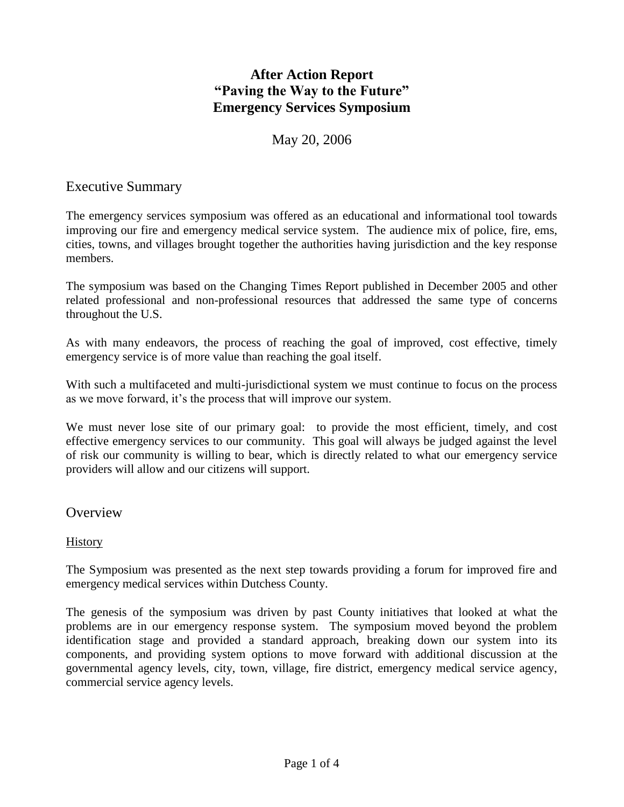# **After Action Report "Paving the Way to the Future" Emergency Services Symposium**

## May 20, 2006

### Executive Summary

The emergency services symposium was offered as an educational and informational tool towards improving our fire and emergency medical service system. The audience mix of police, fire, ems, cities, towns, and villages brought together the authorities having jurisdiction and the key response members.

The symposium was based on the Changing Times Report published in December 2005 and other related professional and non-professional resources that addressed the same type of concerns throughout the U.S.

As with many endeavors, the process of reaching the goal of improved, cost effective, timely emergency service is of more value than reaching the goal itself.

With such a multifaceted and multi-jurisdictional system we must continue to focus on the process as we move forward, it's the process that will improve our system.

We must never lose site of our primary goal: to provide the most efficient, timely, and cost effective emergency services to our community. This goal will always be judged against the level of risk our community is willing to bear, which is directly related to what our emergency service providers will allow and our citizens will support.

### **Overview**

### **History**

The Symposium was presented as the next step towards providing a forum for improved fire and emergency medical services within Dutchess County.

The genesis of the symposium was driven by past County initiatives that looked at what the problems are in our emergency response system. The symposium moved beyond the problem identification stage and provided a standard approach, breaking down our system into its components, and providing system options to move forward with additional discussion at the governmental agency levels, city, town, village, fire district, emergency medical service agency, commercial service agency levels.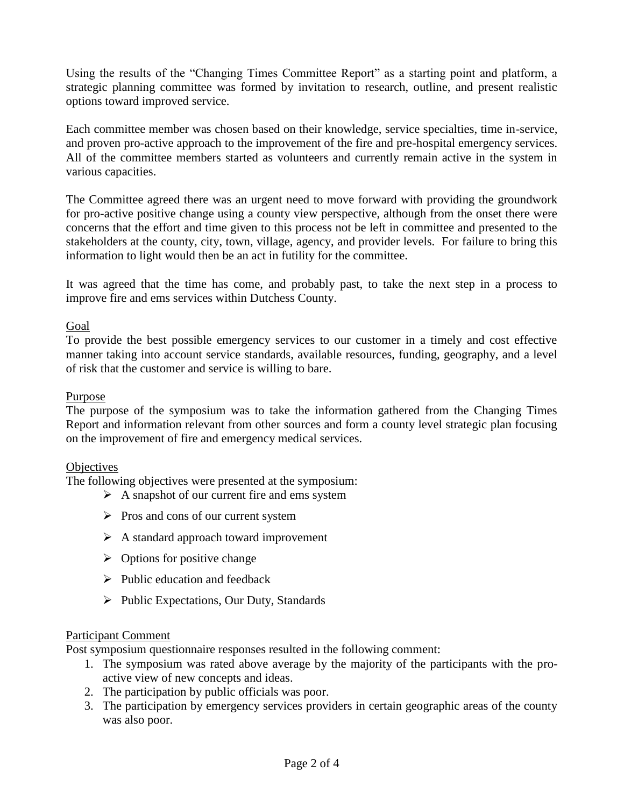Using the results of the "Changing Times Committee Report" as a starting point and platform, a strategic planning committee was formed by invitation to research, outline, and present realistic options toward improved service.

Each committee member was chosen based on their knowledge, service specialties, time in-service, and proven pro-active approach to the improvement of the fire and pre-hospital emergency services. All of the committee members started as volunteers and currently remain active in the system in various capacities.

The Committee agreed there was an urgent need to move forward with providing the groundwork for pro-active positive change using a county view perspective, although from the onset there were concerns that the effort and time given to this process not be left in committee and presented to the stakeholders at the county, city, town, village, agency, and provider levels. For failure to bring this information to light would then be an act in futility for the committee.

It was agreed that the time has come, and probably past, to take the next step in a process to improve fire and ems services within Dutchess County.

#### Goal

To provide the best possible emergency services to our customer in a timely and cost effective manner taking into account service standards, available resources, funding, geography, and a level of risk that the customer and service is willing to bare.

#### Purpose

The purpose of the symposium was to take the information gathered from the Changing Times Report and information relevant from other sources and form a county level strategic plan focusing on the improvement of fire and emergency medical services.

#### **Objectives**

The following objectives were presented at the symposium:

- $\triangleright$  A snapshot of our current fire and ems system
- $\triangleright$  Pros and cons of our current system
- $\triangleright$  A standard approach toward improvement
- $\triangleright$  Options for positive change
- $\triangleright$  Public education and feedback
- $\triangleright$  Public Expectations, Our Duty, Standards

#### Participant Comment

Post symposium questionnaire responses resulted in the following comment:

- 1. The symposium was rated above average by the majority of the participants with the proactive view of new concepts and ideas.
- 2. The participation by public officials was poor.
- 3. The participation by emergency services providers in certain geographic areas of the county was also poor.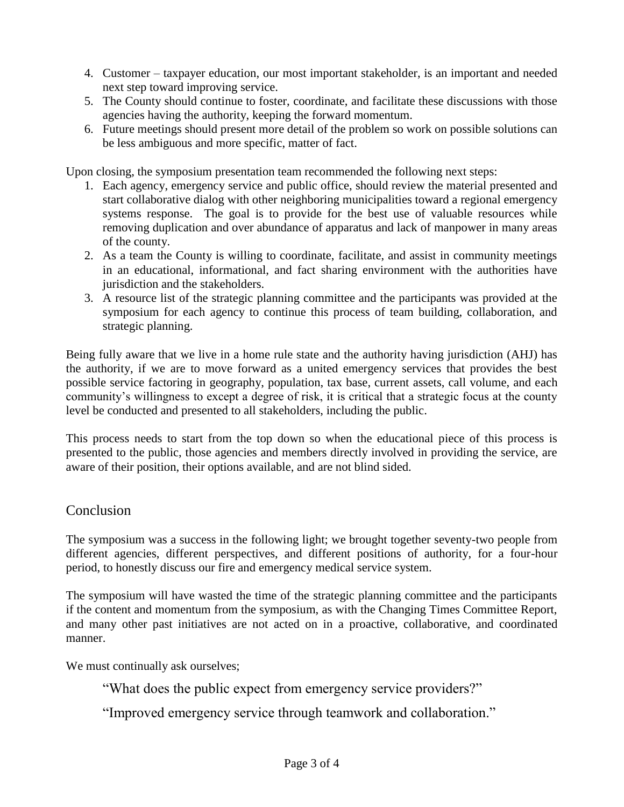- 4. Customer taxpayer education, our most important stakeholder, is an important and needed next step toward improving service.
- 5. The County should continue to foster, coordinate, and facilitate these discussions with those agencies having the authority, keeping the forward momentum.
- 6. Future meetings should present more detail of the problem so work on possible solutions can be less ambiguous and more specific, matter of fact.

Upon closing, the symposium presentation team recommended the following next steps:

- 1. Each agency, emergency service and public office, should review the material presented and start collaborative dialog with other neighboring municipalities toward a regional emergency systems response. The goal is to provide for the best use of valuable resources while removing duplication and over abundance of apparatus and lack of manpower in many areas of the county.
- 2. As a team the County is willing to coordinate, facilitate, and assist in community meetings in an educational, informational, and fact sharing environment with the authorities have jurisdiction and the stakeholders.
- 3. A resource list of the strategic planning committee and the participants was provided at the symposium for each agency to continue this process of team building, collaboration, and strategic planning.

Being fully aware that we live in a home rule state and the authority having jurisdiction (AHJ) has the authority, if we are to move forward as a united emergency services that provides the best possible service factoring in geography, population, tax base, current assets, call volume, and each community's willingness to except a degree of risk, it is critical that a strategic focus at the county level be conducted and presented to all stakeholders, including the public.

This process needs to start from the top down so when the educational piece of this process is presented to the public, those agencies and members directly involved in providing the service, are aware of their position, their options available, and are not blind sided.

## Conclusion

The symposium was a success in the following light; we brought together seventy-two people from different agencies, different perspectives, and different positions of authority, for a four-hour period, to honestly discuss our fire and emergency medical service system.

The symposium will have wasted the time of the strategic planning committee and the participants if the content and momentum from the symposium, as with the Changing Times Committee Report, and many other past initiatives are not acted on in a proactive, collaborative, and coordinated manner.

We must continually ask ourselves;

"What does the public expect from emergency service providers?"

"Improved emergency service through teamwork and collaboration."